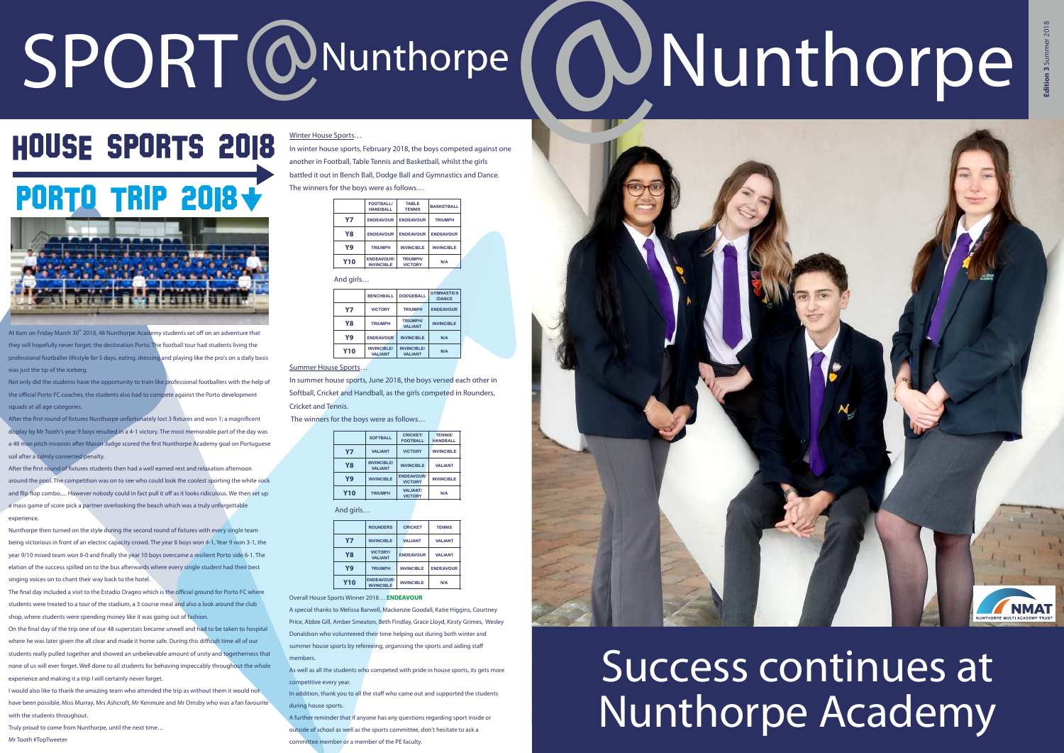# SPORT @Nunthorpe **@Nunthorpe**



At 6am on Friday March 30<sup>th</sup> 2018, 48 Nunthorpe Academy students set off on an adventure that they will hopefully never forget; the destination Porto. The football tour had students living the professional footballer lifestyle for 5 days, eating, dressing and playing like the pro's on a daily basis was just the tip of the iceberg

# Success continues at Nunthorpe Academy

After the first round of fixtures students then had a well earned rest and relaxation afternoon around the pool. The competition was on to see who could look the coolest sporting the white sock and flip flop combo..... However nobody could in fact pull it off as it looks ridiculous. We then set up a mass game of score pick a partner overlooking the beach which was a truly unforgettable experience

Not only did the students have the opportunity to train like professional footballers with the help of the official Porto FC coaches, the students also had to compete against the Porto development squads at all age categories.

After the first round of fixtures Nunthorpe unfortunately lost 3 fixtures and won 1; a magnificent display by Mr Tooth's year 9 boys resulted in a 4-1 victory. The most memorable part of the day was a 48 man pitch invasion after Mason Judge scored the first Nunthorpe Academy goal on Portuguese soil after a calmly converted penalty.

The final day included a visit to the Estadio Drageo which is the official ground for Porto FC where students were treated to a tour of the stadium, a 3 course meal and also a look around the club shop, where students were spending money like it was going out of fashion.

I would also like to thank the amazing team who attended the trip as without them it would not have been possible, Miss Murray, Mrs Ashcroft, Mr Kenmure and Mr Ornsby who was a fan favourite with the students throughout

Nunthorpe then turned on the style during the second round of fixtures with every single team being victorious in front of an electric capacity crowd. The year 8 boys won 4-1, Year 9 won 3-1, the year 9/10 mixed team won 8-0 and finally the year 10 boys overcame a resilient Porto side 6-1. The elation of the success spilled on to the bus afterwards where every single student had their best singing voices on to chant their way back to the hotel.

On the final day of the trip one of our 48 superstars became unwell and had to be taken to hospital where he was later given the all clear and made it home safe. During this difficult time all of our students really pulled together and showed an unbelievable amount of unity and togetherness that none of us will ever forget. Well done to all students for behaving impeccably throughout the whole experience and making it a trip I will certainly never forget.

Truly proud to come from Nunthorpe, until the next time…

Mr Tooth #TopTweeter

Winter House Sports…

In winter house sports, February 2018, the boys competed against one another in Football, Table Tennis and Basketball, whilst the girls battled it out in Bench Ball, Dodge Ball and Gymnastics and Dance. The winners for the boys were as follows…

In summer house sports, June 2018, the boys versed each other in Softball, Cricket and Handball, as the girls competed in Rounders, Cricket and Tennis.

The winners for the boys were as follows…

Overall House Sports Winner 2018… **ENDEAVOUR**

A special thanks to Melissa Barwell, Mackenzie Goodall, Katie Higgins, Courtney Price, Abbie Gill, Amber Smeaton, Beth Findlay, Grace Lloyd, Kirsty Grimes, Wesley Donaldson who volunteered their time helping out during both winter and summer house sports by refereeing, organising the sports and aiding staff members.

As well as all the students who competed with pride in house sports, its gets more competitive every year

In addition, thank you to all the staff who came out and supported the students during house sports.

A further reminder that if anyone has any questions regarding sport inside or outside of school as well as the sports committee, don't hesitate to ask a committee member or a member of the PE faculty.



|            | <b>FOOTBALL/</b><br><b>HANDBALL</b>    | <b>TABLE</b><br><b>TENNIS</b>     | <b>BASKETBALL</b> |
|------------|----------------------------------------|-----------------------------------|-------------------|
| Υ7         | <b>ENDEAVOUR</b>                       | <b>ENDEAVOUR</b>                  | <b>TRIUMPH</b>    |
| Y8         | <b>ENDEAVOUR</b>                       | <b>ENDEAVOUR</b>                  | <b>ENDEAVOUR</b>  |
| Y9         | <b>TRIUMPH</b>                         | <b>INVINCIBLE</b>                 | <b>INVINCIBLE</b> |
| <b>Y10</b> | <b>ENDEAVOUR/</b><br><b>INVINCIBLE</b> | <b>TRIUMPH/</b><br><b>VICTORY</b> | N/A               |

And girls.

|            | <b>SOFTBALL</b>                      | <b>CRICKET/</b><br><b>FOOTBALL</b>  | <b>TENNIS/</b><br><b>HANDBALL</b> |
|------------|--------------------------------------|-------------------------------------|-----------------------------------|
| <b>Y7</b>  | <b>VALIANT</b>                       | <b>VICTORY</b>                      | <b>INVINCIBLE</b>                 |
| <b>Y8</b>  | <b>INVINCIBLE/</b><br><b>VALIANT</b> | <b>INVINCIBLE</b>                   | <b>VALIANT</b>                    |
| Y9         | <b>INVINCIBLE</b>                    | <b>ENDEAVOUR/</b><br><b>VICTORY</b> | <b>INVINCIBLE</b>                 |
| <b>Y10</b> | <b>TRIUMPH</b>                       | <b>VALIANT/</b><br><b>VICTORY</b>   | N/A                               |

And girl

|            | <b>ROUNDERS</b>                        | <b>CRICKET</b>    | <b>TENNIS</b>    |
|------------|----------------------------------------|-------------------|------------------|
| Υ7         | <b>INVINCIBLE</b>                      | <b>VALIANT</b>    | <b>VALIANT</b>   |
| <b>Y8</b>  | <b>VICTORY/</b><br><b>VALIANT</b>      | <b>ENDEAVOUR</b>  | <b>VALIANT</b>   |
| Y9         | <b>TRIUMPH</b>                         | <b>INVINCIBLE</b> | <b>ENDEAVOUR</b> |
| <b>Y10</b> | <b>ENDEAVOUR/</b><br><b>INVINCIBLE</b> | <b>INVINCIBLE</b> | N/A              |

|            | <b>BENCHBALL</b>                     | <b>DODGEBALL</b>                     | <b>GYMNASTICS</b><br>/DANCE |
|------------|--------------------------------------|--------------------------------------|-----------------------------|
| Υ7         | <b>VICTORY</b>                       | <b>TRIUMPH</b>                       | <b>ENDEAVOUR</b>            |
| Y8         | <b>TRIUMPH</b>                       | <b>TRIUMPH/</b><br><b>VALIANT</b>    | <b>INVINCIBLE</b>           |
| Y9         | <b>ENDEAVOUR</b>                     | <b>INVINCIBLE</b>                    | N/A                         |
| <b>Y10</b> | <b>INVINCIBLE/</b><br><b>VALIANT</b> | <b>INVINCIBLE/</b><br><b>VALIANT</b> | N/A                         |

### Summer House Sports.